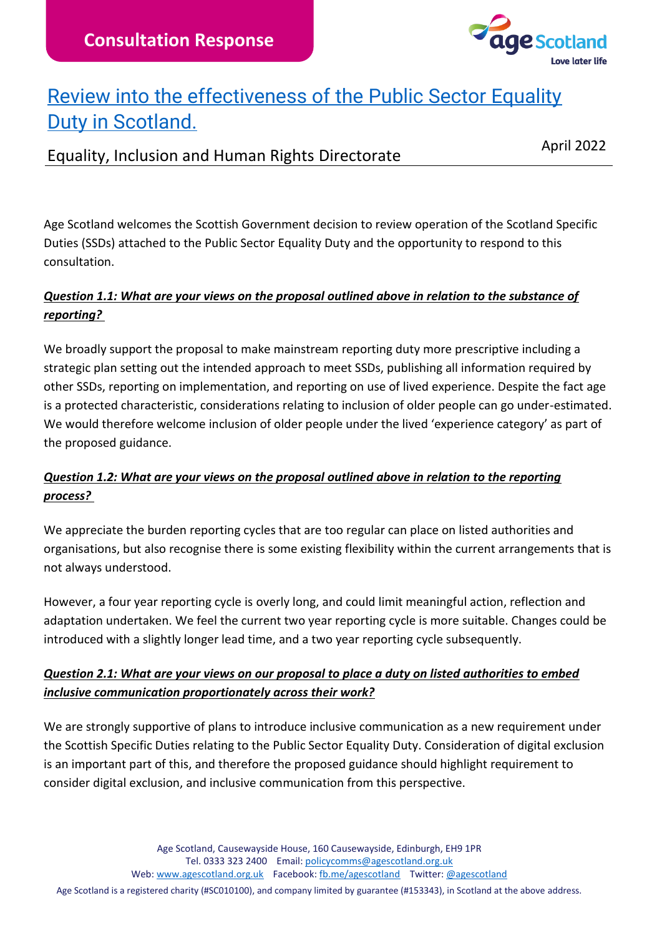

## [Review into the effectiveness of the Public Sector Equality](https://www.gov.scot/publications/public-sector-equality-duty-scotland-consultation/)  [Duty in Scotland.](https://www.gov.scot/publications/public-sector-equality-duty-scotland-consultation/)

## Equality, Inclusion and Human Rights Directorate April 2022

Age Scotland welcomes the Scottish Government decision to review operation of the Scotland Specific Duties (SSDs) attached to the Public Sector Equality Duty and the opportunity to respond to this consultation.

### *Question 1.1: What are your views on the proposal outlined above in relation to the substance of reporting?*

We broadly support the proposal to make mainstream reporting duty more prescriptive including a strategic plan setting out the intended approach to meet SSDs, publishing all information required by other SSDs, reporting on implementation, and reporting on use of lived experience. Despite the fact age is a protected characteristic, considerations relating to inclusion of older people can go under-estimated. We would therefore welcome inclusion of older people under the lived 'experience category' as part of the proposed guidance.

#### *Question 1.2: What are your views on the proposal outlined above in relation to the reporting process?*

We appreciate the burden reporting cycles that are too regular can place on listed authorities and organisations, but also recognise there is some existing flexibility within the current arrangements that is not always understood.

However, a four year reporting cycle is overly long, and could limit meaningful action, reflection and adaptation undertaken. We feel the current two year reporting cycle is more suitable. Changes could be introduced with a slightly longer lead time, and a two year reporting cycle subsequently.

#### *Question 2.1: What are your views on our proposal to place a duty on listed authorities to embed inclusive communication proportionately across their work?*

We are strongly supportive of plans to introduce inclusive communication as a new requirement under the Scottish Specific Duties relating to the Public Sector Equality Duty. Consideration of digital exclusion is an important part of this, and therefore the proposed guidance should highlight requirement to consider digital exclusion, and inclusive communication from this perspective.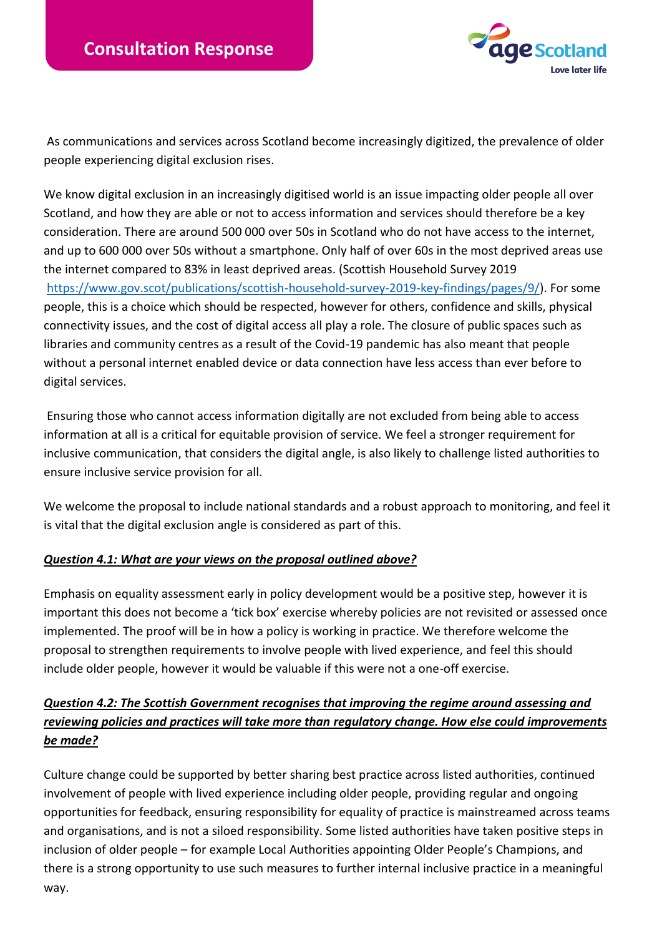

As communications and services across Scotland become increasingly digitized, the prevalence of older people experiencing digital exclusion rises.

We know digital exclusion in an increasingly digitised world is an issue impacting older people all over Scotland, and how they are able or not to access information and services should therefore be a key consideration. There are around 500 000 over 50s in Scotland who do not have access to the internet, and up to 600 000 over 50s without a smartphone. Only half of over 60s in the most deprived areas use the internet compared to 83% in least deprived areas. (Scottish Household Survey 2019 [https://www.gov.scot/publications/scottish-household-survey-2019-key-findings/pages/9/\)](https://www.gov.scot/publications/scottish-household-survey-2019-key-findings/pages/9/). For some people, this is a choice which should be respected, however for others, confidence and skills, physical connectivity issues, and the cost of digital access all play a role. The closure of public spaces such as libraries and community centres as a result of the Covid-19 pandemic has also meant that people without a personal internet enabled device or data connection have less access than ever before to digital services.

Ensuring those who cannot access information digitally are not excluded from being able to access information at all is a critical for equitable provision of service. We feel a stronger requirement for inclusive communication, that considers the digital angle, is also likely to challenge listed authorities to ensure inclusive service provision for all.

We welcome the proposal to include national standards and a robust approach to monitoring, and feel it is vital that the digital exclusion angle is considered as part of this.

#### *Question 4.1: What are your views on the proposal outlined above?*

Emphasis on equality assessment early in policy development would be a positive step, however it is important this does not become a 'tick box' exercise whereby policies are not revisited or assessed once implemented. The proof will be in how a policy is working in practice. We therefore welcome the proposal to strengthen requirements to involve people with lived experience, and feel this should include older people, however it would be valuable if this were not a one-off exercise.

#### *Question 4.2: The Scottish Government recognises that improving the regime around assessing and reviewing policies and practices will take more than regulatory change. How else could improvements be made?*

Culture change could be supported by better sharing best practice across listed authorities, continued involvement of people with lived experience including older people, providing regular and ongoing opportunities for feedback, ensuring responsibility for equality of practice is mainstreamed across teams and organisations, and is not a siloed responsibility. Some listed authorities have taken positive steps in inclusion of older people – for example Local Authorities appointing Older People's Champions, and there is a strong opportunity to use such measures to further internal inclusive practice in a meaningful way.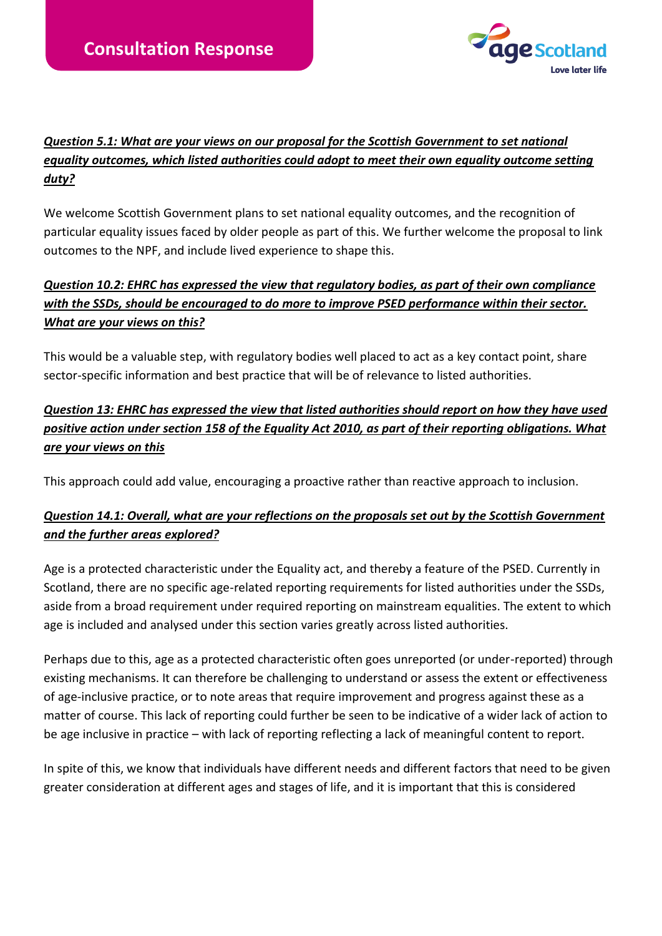

#### *Question 5.1: What are your views on our proposal for the Scottish Government to set national equality outcomes, which listed authorities could adopt to meet their own equality outcome setting duty?*

We welcome Scottish Government plans to set national equality outcomes, and the recognition of particular equality issues faced by older people as part of this. We further welcome the proposal to link outcomes to the NPF, and include lived experience to shape this.

#### *Question 10.2: EHRC has expressed the view that regulatory bodies, as part of their own compliance with the SSDs, should be encouraged to do more to improve PSED performance within their sector. What are your views on this?*

This would be a valuable step, with regulatory bodies well placed to act as a key contact point, share sector-specific information and best practice that will be of relevance to listed authorities.

### *Question 13: EHRC has expressed the view that listed authorities should report on how they have used positive action under section 158 of the Equality Act 2010, as part of their reporting obligations. What are your views on this*

This approach could add value, encouraging a proactive rather than reactive approach to inclusion.

#### *Question 14.1: Overall, what are your reflections on the proposals set out by the Scottish Government and the further areas explored?*

Age is a protected characteristic under the Equality act, and thereby a feature of the PSED. Currently in Scotland, there are no specific age-related reporting requirements for listed authorities under the SSDs, aside from a broad requirement under required reporting on mainstream equalities. The extent to which age is included and analysed under this section varies greatly across listed authorities.

Perhaps due to this, age as a protected characteristic often goes unreported (or under-reported) through existing mechanisms. It can therefore be challenging to understand or assess the extent or effectiveness of age-inclusive practice, or to note areas that require improvement and progress against these as a matter of course. This lack of reporting could further be seen to be indicative of a wider lack of action to be age inclusive in practice – with lack of reporting reflecting a lack of meaningful content to report.

In spite of this, we know that individuals have different needs and different factors that need to be given greater consideration at different ages and stages of life, and it is important that this is considered